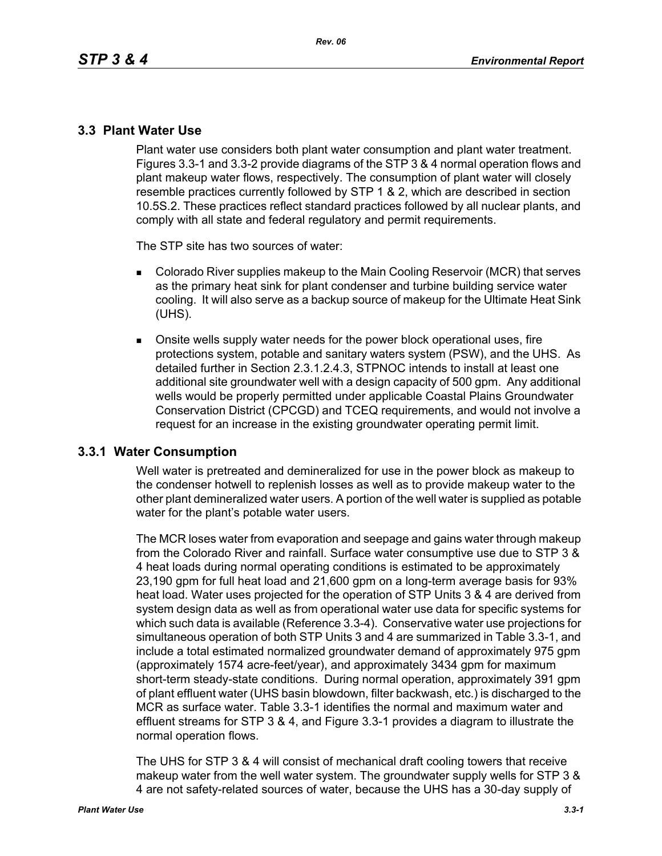### **3.3 Plant Water Use**

Plant water use considers both plant water consumption and plant water treatment. Figures 3.3-1 and 3.3-2 provide diagrams of the STP 3 & 4 normal operation flows and plant makeup water flows, respectively. The consumption of plant water will closely resemble practices currently followed by STP 1 & 2, which are described in section 10.5S.2. These practices reflect standard practices followed by all nuclear plants, and comply with all state and federal regulatory and permit requirements.

The STP site has two sources of water:

- **Colorado River supplies makeup to the Main Cooling Reservoir (MCR) that serves** as the primary heat sink for plant condenser and turbine building service water cooling. It will also serve as a backup source of makeup for the Ultimate Heat Sink (UHS).
- Onsite wells supply water needs for the power block operational uses, fire protections system, potable and sanitary waters system (PSW), and the UHS. As detailed further in Section 2.3.1.2.4.3, STPNOC intends to install at least one additional site groundwater well with a design capacity of 500 gpm. Any additional wells would be properly permitted under applicable Coastal Plains Groundwater Conservation District (CPCGD) and TCEQ requirements, and would not involve a request for an increase in the existing groundwater operating permit limit.

### **3.3.1 Water Consumption**

Well water is pretreated and demineralized for use in the power block as makeup to the condenser hotwell to replenish losses as well as to provide makeup water to the other plant demineralized water users. A portion of the well water is supplied as potable water for the plant's potable water users.

The MCR loses water from evaporation and seepage and gains water through makeup from the Colorado River and rainfall. Surface water consumptive use due to STP 3 & 4 heat loads during normal operating conditions is estimated to be approximately 23,190 gpm for full heat load and 21,600 gpm on a long-term average basis for 93% heat load. Water uses projected for the operation of STP Units 3 & 4 are derived from system design data as well as from operational water use data for specific systems for which such data is available (Reference 3.3-4). Conservative water use projections for simultaneous operation of both STP Units 3 and 4 are summarized in Table 3.3-1, and include a total estimated normalized groundwater demand of approximately 975 gpm (approximately 1574 acre-feet/year), and approximately 3434 gpm for maximum short-term steady-state conditions. During normal operation, approximately 391 gpm of plant effluent water (UHS basin blowdown, filter backwash, etc.) is discharged to the MCR as surface water. Table 3.3-1 identifies the normal and maximum water and effluent streams for STP 3 & 4, and Figure 3.3-1 provides a diagram to illustrate the normal operation flows.

The UHS for STP 3 & 4 will consist of mechanical draft cooling towers that receive makeup water from the well water system. The groundwater supply wells for STP 3 & 4 are not safety-related sources of water, because the UHS has a 30-day supply of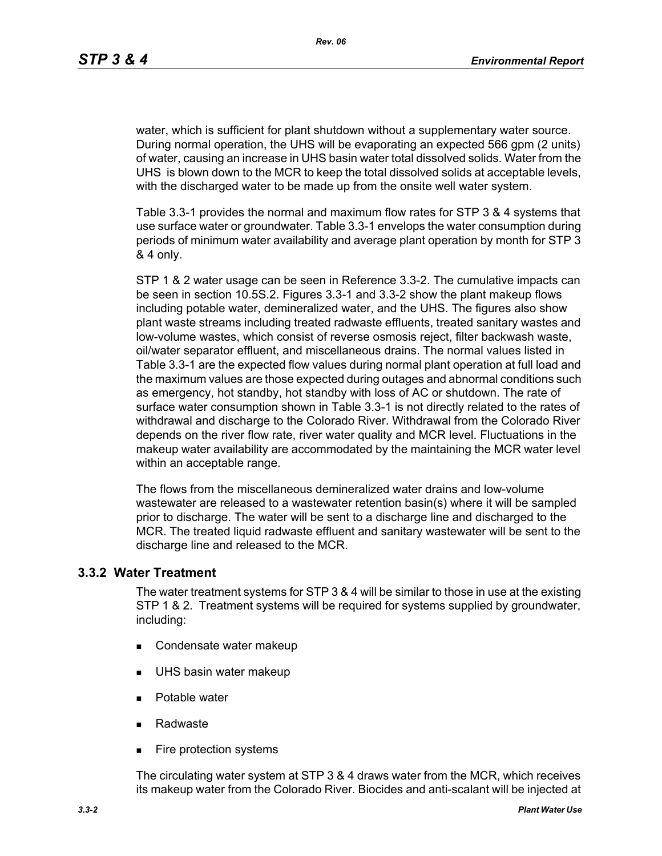water, which is sufficient for plant shutdown without a supplementary water source. During normal operation, the UHS will be evaporating an expected 566 gpm (2 units) of water, causing an increase in UHS basin water total dissolved solids. Water from the UHS is blown down to the MCR to keep the total dissolved solids at acceptable levels, with the discharged water to be made up from the onsite well water system.

Table 3.3-1 provides the normal and maximum flow rates for STP 3 & 4 systems that use surface water or groundwater. Table 3.3-1 envelops the water consumption during periods of minimum water availability and average plant operation by month for STP 3 & 4 only.

STP 1 & 2 water usage can be seen in Reference 3.3-2. The cumulative impacts can be seen in section 10.5S.2. Figures 3.3-1 and 3.3-2 show the plant makeup flows including potable water, demineralized water, and the UHS. The figures also show plant waste streams including treated radwaste effluents, treated sanitary wastes and low-volume wastes, which consist of reverse osmosis reject, filter backwash waste, oil/water separator effluent, and miscellaneous drains. The normal values listed in Table 3.3-1 are the expected flow values during normal plant operation at full load and the maximum values are those expected during outages and abnormal conditions such as emergency, hot standby, hot standby with loss of AC or shutdown. The rate of surface water consumption shown in Table 3.3-1 is not directly related to the rates of withdrawal and discharge to the Colorado River. Withdrawal from the Colorado River depends on the river flow rate, river water quality and MCR level. Fluctuations in the makeup water availability are accommodated by the maintaining the MCR water level within an acceptable range.

The flows from the miscellaneous demineralized water drains and low-volume wastewater are released to a wastewater retention basin(s) where it will be sampled prior to discharge. The water will be sent to a discharge line and discharged to the MCR. The treated liquid radwaste effluent and sanitary wastewater will be sent to the discharge line and released to the MCR.

#### **3.3.2 Water Treatment**

The water treatment systems for STP 3 & 4 will be similar to those in use at the existing STP 1 & 2. Treatment systems will be required for systems supplied by groundwater, including:

- Condensate water makeup
- **UHS basin water makeup**
- **Potable water**
- Radwaste
- **Fire protection systems**

The circulating water system at STP 3 & 4 draws water from the MCR, which receives its makeup water from the Colorado River. Biocides and anti-scalant will be injected at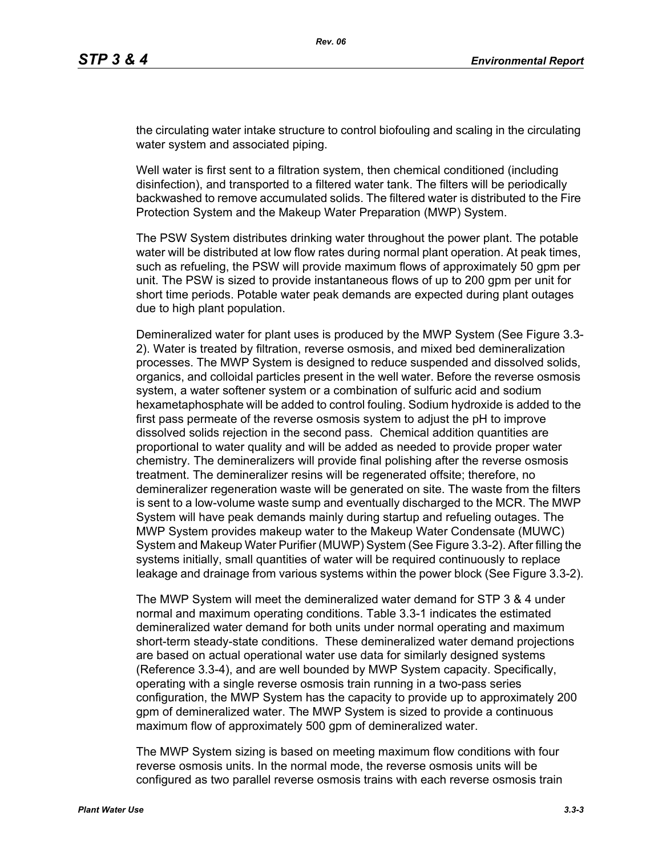the circulating water intake structure to control biofouling and scaling in the circulating water system and associated piping.

Well water is first sent to a filtration system, then chemical conditioned (including disinfection), and transported to a filtered water tank. The filters will be periodically backwashed to remove accumulated solids. The filtered water is distributed to the Fire Protection System and the Makeup Water Preparation (MWP) System.

The PSW System distributes drinking water throughout the power plant. The potable water will be distributed at low flow rates during normal plant operation. At peak times, such as refueling, the PSW will provide maximum flows of approximately 50 gpm per unit. The PSW is sized to provide instantaneous flows of up to 200 gpm per unit for short time periods. Potable water peak demands are expected during plant outages due to high plant population.

Demineralized water for plant uses is produced by the MWP System (See Figure 3.3- 2). Water is treated by filtration, reverse osmosis, and mixed bed demineralization processes. The MWP System is designed to reduce suspended and dissolved solids, organics, and colloidal particles present in the well water. Before the reverse osmosis system, a water softener system or a combination of sulfuric acid and sodium hexametaphosphate will be added to control fouling. Sodium hydroxide is added to the first pass permeate of the reverse osmosis system to adjust the pH to improve dissolved solids rejection in the second pass. Chemical addition quantities are proportional to water quality and will be added as needed to provide proper water chemistry. The demineralizers will provide final polishing after the reverse osmosis treatment. The demineralizer resins will be regenerated offsite; therefore, no demineralizer regeneration waste will be generated on site. The waste from the filters is sent to a low-volume waste sump and eventually discharged to the MCR. The MWP System will have peak demands mainly during startup and refueling outages. The MWP System provides makeup water to the Makeup Water Condensate (MUWC) System and Makeup Water Purifier (MUWP) System (See Figure 3.3-2). After filling the systems initially, small quantities of water will be required continuously to replace leakage and drainage from various systems within the power block (See Figure 3.3-2).

The MWP System will meet the demineralized water demand for STP 3 & 4 under normal and maximum operating conditions. Table 3.3-1 indicates the estimated demineralized water demand for both units under normal operating and maximum short-term steady-state conditions. These demineralized water demand projections are based on actual operational water use data for similarly designed systems (Reference 3.3-4), and are well bounded by MWP System capacity. Specifically, operating with a single reverse osmosis train running in a two-pass series configuration, the MWP System has the capacity to provide up to approximately 200 gpm of demineralized water. The MWP System is sized to provide a continuous maximum flow of approximately 500 gpm of demineralized water.

The MWP System sizing is based on meeting maximum flow conditions with four reverse osmosis units. In the normal mode, the reverse osmosis units will be configured as two parallel reverse osmosis trains with each reverse osmosis train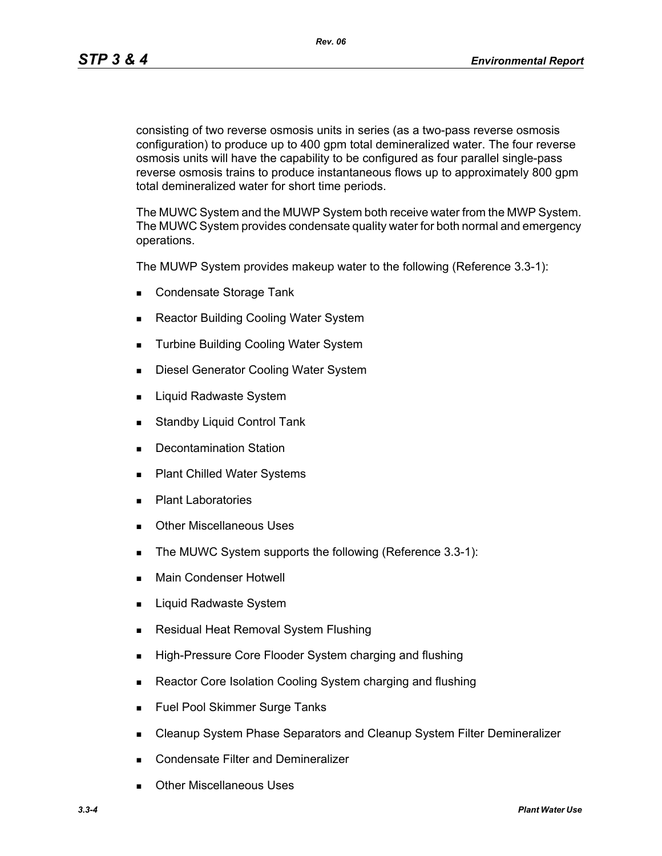*Rev. 06*

consisting of two reverse osmosis units in series (as a two-pass reverse osmosis configuration) to produce up to 400 gpm total demineralized water. The four reverse osmosis units will have the capability to be configured as four parallel single-pass reverse osmosis trains to produce instantaneous flows up to approximately 800 gpm total demineralized water for short time periods.

The MUWC System and the MUWP System both receive water from the MWP System. The MUWC System provides condensate quality water for both normal and emergency operations.

The MUWP System provides makeup water to the following (Reference 3.3-1):

- Condensate Storage Tank
- Reactor Building Cooling Water System
- **Turbine Building Cooling Water System**
- **Diesel Generator Cooling Water System**
- **Liquid Radwaste System**
- **Standby Liquid Control Tank**
- **Decontamination Station**
- Plant Chilled Water Systems
- **Plant Laboratories**
- **Duries** Other Miscellaneous Uses
- The MUWC System supports the following (Reference 3.3-1):
- **Main Condenser Hotwell**
- Liquid Radwaste System
- **Residual Heat Removal System Flushing**
- **High-Pressure Core Flooder System charging and flushing**
- Reactor Core Isolation Cooling System charging and flushing
- **Fuel Pool Skimmer Surge Tanks**
- **EXEC** Cleanup System Phase Separators and Cleanup System Filter Demineralizer
- **Condensate Filter and Demineralizer**
- Other Miscellaneous Uses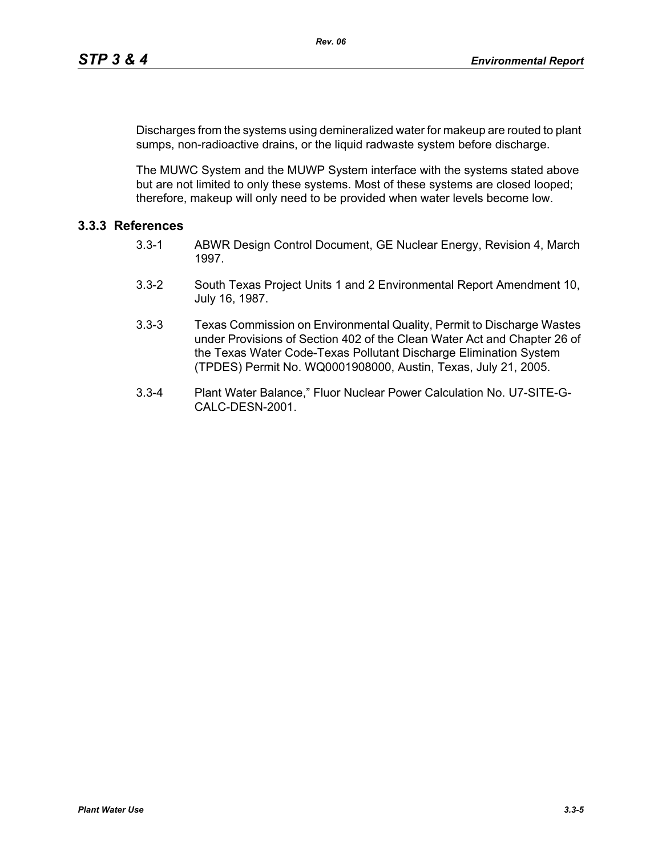Discharges from the systems using demineralized water for makeup are routed to plant sumps, non-radioactive drains, or the liquid radwaste system before discharge.

The MUWC System and the MUWP System interface with the systems stated above but are not limited to only these systems. Most of these systems are closed looped; therefore, makeup will only need to be provided when water levels become low.

## **3.3.3 References**

- 3.3-1 ABWR Design Control Document, GE Nuclear Energy, Revision 4, March 1997.
- 3.3-2 South Texas Project Units 1 and 2 Environmental Report Amendment 10, July 16, 1987.
- 3.3-3 Texas Commission on Environmental Quality, Permit to Discharge Wastes under Provisions of Section 402 of the Clean Water Act and Chapter 26 of the Texas Water Code-Texas Pollutant Discharge Elimination System (TPDES) Permit No. WQ0001908000, Austin, Texas, July 21, 2005.
- 3.3-4 Plant Water Balance," Fluor Nuclear Power Calculation No. U7-SITE-G-CALC-DESN-2001.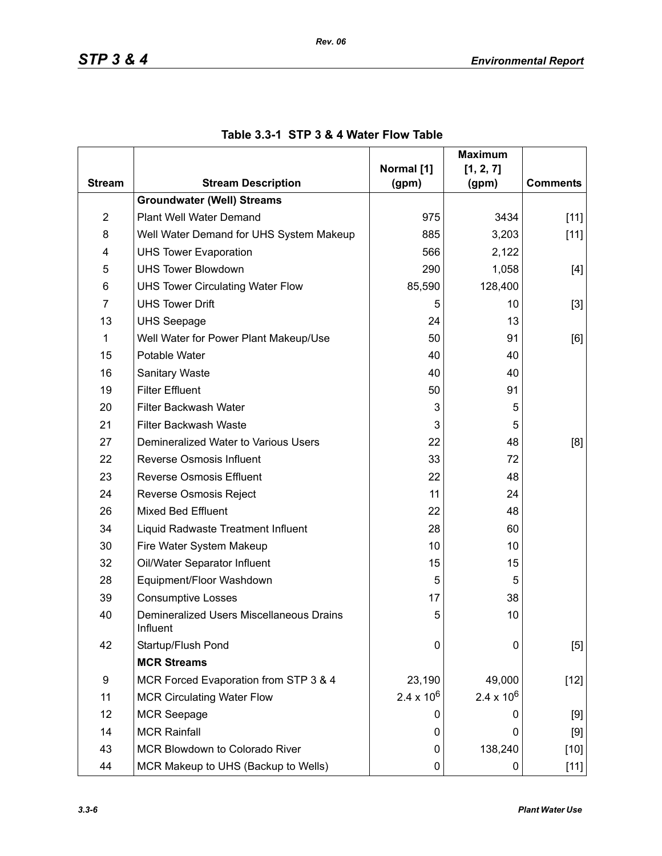|                |                                                                   |                     | <b>Maximum</b>      |                 |
|----------------|-------------------------------------------------------------------|---------------------|---------------------|-----------------|
| <b>Stream</b>  | <b>Stream Description</b>                                         | Normal [1]          | [1, 2, 7]           | <b>Comments</b> |
|                | <b>Groundwater (Well) Streams</b>                                 | (gpm)               | (gpm)               |                 |
| $\overline{2}$ | Plant Well Water Demand                                           | 975                 | 3434                |                 |
| 8              |                                                                   | 885                 |                     | $[11]$          |
|                | Well Water Demand for UHS System Makeup                           |                     | 3,203               | $[11]$          |
| 4<br>5         | <b>UHS Tower Evaporation</b><br><b>UHS Tower Blowdown</b>         | 566                 | 2,122               |                 |
| 6              |                                                                   | 290<br>85,590       | 1,058<br>128,400    | [4]             |
| $\overline{7}$ | <b>UHS Tower Circulating Water Flow</b><br><b>UHS Tower Drift</b> |                     |                     |                 |
|                |                                                                   | 5                   | 10                  | $[3]$           |
| 13             | <b>UHS Seepage</b>                                                | 24<br>50            | 13                  |                 |
| 1              | Well Water for Power Plant Makeup/Use                             |                     | 91                  | [6]             |
| 15             | Potable Water                                                     | 40                  | 40                  |                 |
| 16             | <b>Sanitary Waste</b>                                             | 40                  | 40                  |                 |
| 19             | <b>Filter Effluent</b>                                            | 50                  | 91                  |                 |
| 20             | Filter Backwash Water                                             | 3                   | 5                   |                 |
| 21             | Filter Backwash Waste                                             | 3                   | 5                   |                 |
| 27             | Demineralized Water to Various Users                              | 22                  | 48                  | [8]             |
| 22             | Reverse Osmosis Influent                                          | 33                  | 72                  |                 |
| 23             | <b>Reverse Osmosis Effluent</b>                                   | 22                  | 48                  |                 |
| 24             | Reverse Osmosis Reject                                            | 11                  | 24                  |                 |
| 26             | <b>Mixed Bed Effluent</b>                                         | 22                  | 48                  |                 |
| 34             | Liquid Radwaste Treatment Influent                                | 28                  | 60                  |                 |
| 30             | Fire Water System Makeup                                          | 10                  | 10                  |                 |
| 32             | Oil/Water Separator Influent                                      | 15                  | 15                  |                 |
| 28             | Equipment/Floor Washdown                                          | 5                   | 5                   |                 |
| 39             | <b>Consumptive Losses</b>                                         | 17                  | 38                  |                 |
| 40             | Demineralized Users Miscellaneous Drains<br>Influent              | 5                   | 10                  |                 |
| 42             | Startup/Flush Pond                                                | 0                   | 0                   | [5]             |
|                | <b>MCR Streams</b>                                                |                     |                     |                 |
| 9              | MCR Forced Evaporation from STP 3 & 4                             | 23,190              | 49,000              | $[12]$          |
| 11             | <b>MCR Circulating Water Flow</b>                                 | $2.4 \times 10^{6}$ | $2.4 \times 10^{6}$ |                 |
| 12             | <b>MCR Seepage</b>                                                | 0                   | 0                   | [9]             |
| 14             | <b>MCR Rainfall</b>                                               | 0                   | 0                   | [9]             |
| 43             | MCR Blowdown to Colorado River                                    | 0                   | 138,240             | $[10]$          |
| 44             | MCR Makeup to UHS (Backup to Wells)                               | 0                   | 0                   | $[11]$          |

# **Table 3.3-1 STP 3 & 4 Water Flow Table**

*Rev. 06*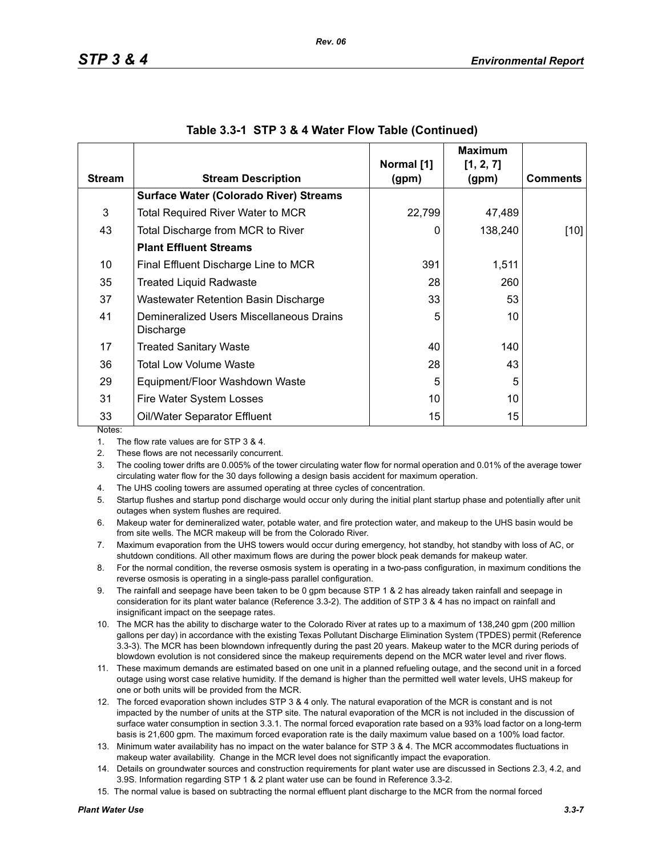|               |                                                       |                     | <b>Maximum</b>     |                 |
|---------------|-------------------------------------------------------|---------------------|--------------------|-----------------|
| <b>Stream</b> | <b>Stream Description</b>                             | Normal [1]<br>(gpm) | [1, 2, 7]<br>(gpm) | <b>Comments</b> |
|               | <b>Surface Water (Colorado River) Streams</b>         |                     |                    |                 |
| 3             | <b>Total Required River Water to MCR</b>              | 22,799              | 47,489             |                 |
| 43            | Total Discharge from MCR to River                     | 0                   | 138,240            | [10]            |
|               | <b>Plant Effluent Streams</b>                         |                     |                    |                 |
| 10            | Final Effluent Discharge Line to MCR                  | 391                 | 1,511              |                 |
| 35            | <b>Treated Liquid Radwaste</b>                        | 28                  | 260                |                 |
| 37            | Wastewater Retention Basin Discharge                  | 33                  | 53                 |                 |
| 41            | Demineralized Users Miscellaneous Drains<br>Discharge | 5                   | 10                 |                 |
| 17            | <b>Treated Sanitary Waste</b>                         | 40                  | 140                |                 |
| 36            | Total Low Volume Waste                                | 28                  | 43                 |                 |
| 29            | Equipment/Floor Washdown Waste                        | 5                   | 5                  |                 |
| 31            | Fire Water System Losses                              | 10                  | 10                 |                 |
| 33            | Oil/Water Separator Effluent                          | 15                  | 15                 |                 |
| Notes:        |                                                       |                     |                    |                 |

#### **Table 3.3-1 STP 3 & 4 Water Flow Table (Continued)**

1. The flow rate values are for STP 3 & 4.

2. These flows are not necessarily concurrent.

3. The cooling tower drifts are 0.005% of the tower circulating water flow for normal operation and 0.01% of the average tower circulating water flow for the 30 days following a design basis accident for maximum operation.

4. The UHS cooling towers are assumed operating at three cycles of concentration.

5. Startup flushes and startup pond discharge would occur only during the initial plant startup phase and potentially after unit outages when system flushes are required.

6. Makeup water for demineralized water, potable water, and fire protection water, and makeup to the UHS basin would be from site wells. The MCR makeup will be from the Colorado River.

7. Maximum evaporation from the UHS towers would occur during emergency, hot standby, hot standby with loss of AC, or shutdown conditions. All other maximum flows are during the power block peak demands for makeup water.

8. For the normal condition, the reverse osmosis system is operating in a two-pass configuration, in maximum conditions the reverse osmosis is operating in a single-pass parallel configuration.

9. The rainfall and seepage have been taken to be 0 gpm because STP 1 & 2 has already taken rainfall and seepage in consideration for its plant water balance (Reference 3.3-2). The addition of STP 3 & 4 has no impact on rainfall and insignificant impact on the seepage rates.

10. The MCR has the ability to discharge water to the Colorado River at rates up to a maximum of 138,240 gpm (200 million gallons per day) in accordance with the existing Texas Pollutant Discharge Elimination System (TPDES) permit (Reference 3.3-3). The MCR has been blowndown infrequently during the past 20 years. Makeup water to the MCR during periods of blowdown evolution is not considered since the makeup requirements depend on the MCR water level and river flows.

11. These maximum demands are estimated based on one unit in a planned refueling outage, and the second unit in a forced outage using worst case relative humidity. If the demand is higher than the permitted well water levels, UHS makeup for one or both units will be provided from the MCR.

12. The forced evaporation shown includes STP 3 & 4 only. The natural evaporation of the MCR is constant and is not impacted by the number of units at the STP site. The natural evaporation of the MCR is not included in the discussion of surface water consumption in section 3.3.1. The normal forced evaporation rate based on a 93% load factor on a long-term basis is 21,600 gpm. The maximum forced evaporation rate is the daily maximum value based on a 100% load factor.

13. Minimum water availability has no impact on the water balance for STP 3 & 4. The MCR accommodates fluctuations in makeup water availability. Change in the MCR level does not significantly impact the evaporation.

14. Details on groundwater sources and construction requirements for plant water use are discussed in Sections 2.3, 4.2, and 3.9S. Information regarding STP 1 & 2 plant water use can be found in Reference 3.3-2.

15. The normal value is based on subtracting the normal effluent plant discharge to the MCR from the normal forced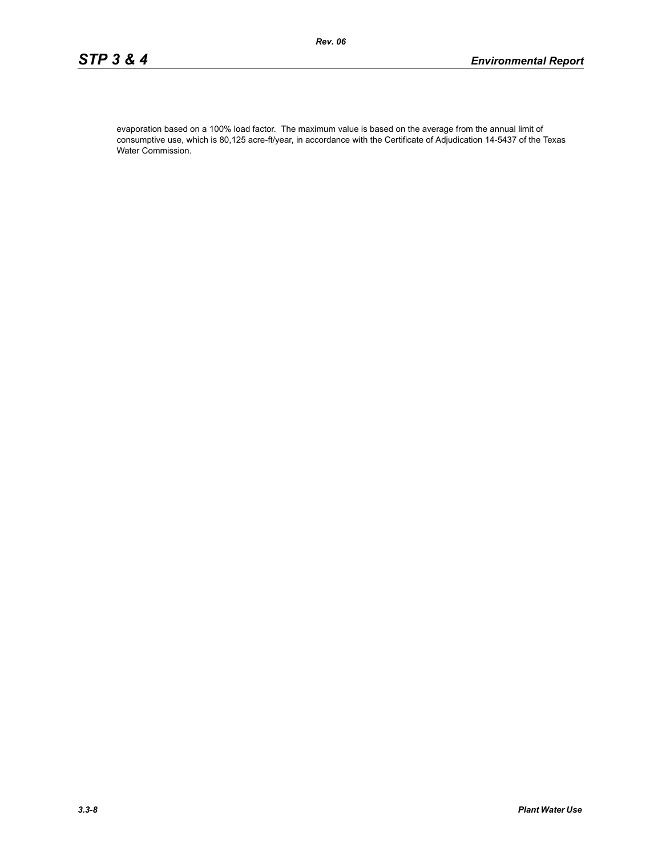evaporation based on a 100% load factor. The maximum value is based on the average from the annual limit of consumptive use, which is 80,125 acre-ft/year, in accordance with the Certificate of Adjudication 14-5437 of the Texas Water Commission.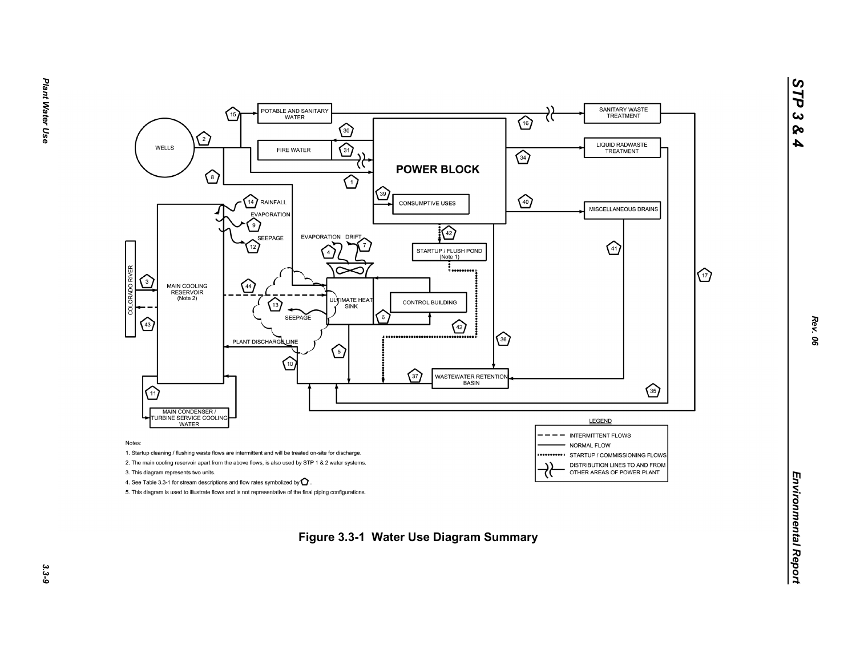

*STP 3 & 4*